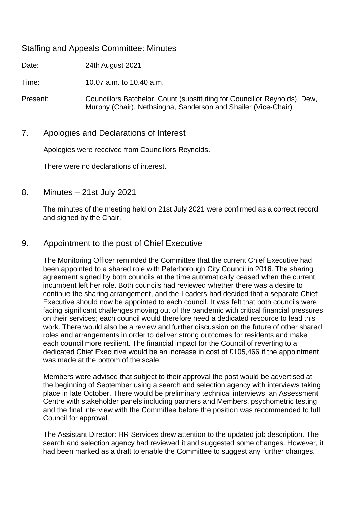## Staffing and Appeals Committee: Minutes

Date: 24th August 2021

Time: 10.07 a.m. to 10.40 a.m.

Present: Councillors Batchelor, Count (substituting for Councillor Reynolds), Dew, Murphy (Chair), Nethsingha, Sanderson and Shailer (Vice-Chair)

## 7. Apologies and Declarations of Interest

Apologies were received from Councillors Reynolds.

There were no declarations of interest.

8. Minutes – 21st July 2021

The minutes of the meeting held on 21st July 2021 were confirmed as a correct record and signed by the Chair.

## 9. Appointment to the post of Chief Executive

The Monitoring Officer reminded the Committee that the current Chief Executive had been appointed to a shared role with Peterborough City Council in 2016. The sharing agreement signed by both councils at the time automatically ceased when the current incumbent left her role. Both councils had reviewed whether there was a desire to continue the sharing arrangement, and the Leaders had decided that a separate Chief Executive should now be appointed to each council. It was felt that both councils were facing significant challenges moving out of the pandemic with critical financial pressures on their services; each council would therefore need a dedicated resource to lead this work. There would also be a review and further discussion on the future of other shared roles and arrangements in order to deliver strong outcomes for residents and make each council more resilient. The financial impact for the Council of reverting to a dedicated Chief Executive would be an increase in cost of £105,466 if the appointment was made at the bottom of the scale.

Members were advised that subject to their approval the post would be advertised at the beginning of September using a search and selection agency with interviews taking place in late October. There would be preliminary technical interviews, an Assessment Centre with stakeholder panels including partners and Members, psychometric testing and the final interview with the Committee before the position was recommended to full Council for approval.

The Assistant Director: HR Services drew attention to the updated job description. The search and selection agency had reviewed it and suggested some changes. However, it had been marked as a draft to enable the Committee to suggest any further changes.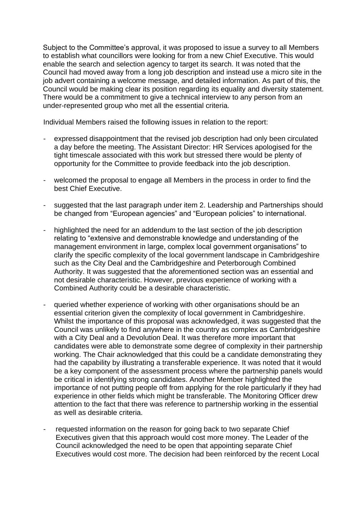Subject to the Committee's approval, it was proposed to issue a survey to all Members to establish what councillors were looking for from a new Chief Executive. This would enable the search and selection agency to target its search. It was noted that the Council had moved away from a long job description and instead use a micro site in the job advert containing a welcome message, and detailed information. As part of this, the Council would be making clear its position regarding its equality and diversity statement. There would be a commitment to give a technical interview to any person from an under-represented group who met all the essential criteria.

Individual Members raised the following issues in relation to the report:

- expressed disappointment that the revised job description had only been circulated a day before the meeting. The Assistant Director: HR Services apologised for the tight timescale associated with this work but stressed there would be plenty of opportunity for the Committee to provide feedback into the job description.
- welcomed the proposal to engage all Members in the process in order to find the best Chief Executive.
- suggested that the last paragraph under item 2. Leadership and Partnerships should be changed from "European agencies" and "European policies" to international.
- highlighted the need for an addendum to the last section of the job description relating to "extensive and demonstrable knowledge and understanding of the management environment in large, complex local government organisations" to clarify the specific complexity of the local government landscape in Cambridgeshire such as the City Deal and the Cambridgeshire and Peterborough Combined Authority. It was suggested that the aforementioned section was an essential and not desirable characteristic. However, previous experience of working with a Combined Authority could be a desirable characteristic.
- queried whether experience of working with other organisations should be an essential criterion given the complexity of local government in Cambridgeshire. Whilst the importance of this proposal was acknowledged, it was suggested that the Council was unlikely to find anywhere in the country as complex as Cambridgeshire with a City Deal and a Devolution Deal. It was therefore more important that candidates were able to demonstrate some degree of complexity in their partnership working. The Chair acknowledged that this could be a candidate demonstrating they had the capability by illustrating a transferable experience. It was noted that it would be a key component of the assessment process where the partnership panels would be critical in identifying strong candidates. Another Member highlighted the importance of not putting people off from applying for the role particularly if they had experience in other fields which might be transferable. The Monitoring Officer drew attention to the fact that there was reference to partnership working in the essential as well as desirable criteria.
- requested information on the reason for going back to two separate Chief Executives given that this approach would cost more money. The Leader of the Council acknowledged the need to be open that appointing separate Chief Executives would cost more. The decision had been reinforced by the recent Local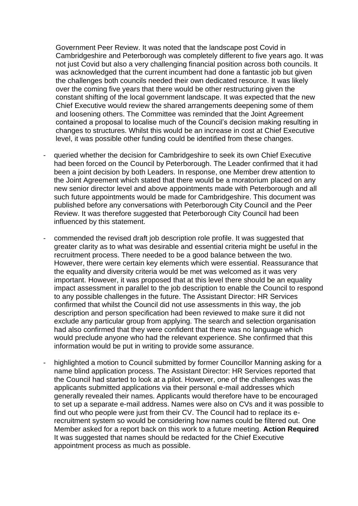Government Peer Review. It was noted that the landscape post Covid in Cambridgeshire and Peterborough was completely different to five years ago. It was not just Covid but also a very challenging financial position across both councils. It was acknowledged that the current incumbent had done a fantastic job but given the challenges both councils needed their own dedicated resource. It was likely over the coming five years that there would be other restructuring given the constant shifting of the local government landscape. It was expected that the new Chief Executive would review the shared arrangements deepening some of them and loosening others. The Committee was reminded that the Joint Agreement contained a proposal to localise much of the Council's decision making resulting in changes to structures. Whilst this would be an increase in cost at Chief Executive level, it was possible other funding could be identified from these changes.

- queried whether the decision for Cambridgeshire to seek its own Chief Executive had been forced on the Council by Peterborough. The Leader confirmed that it had been a joint decision by both Leaders. In response, one Member drew attention to the Joint Agreement which stated that there would be a moratorium placed on any new senior director level and above appointments made with Peterborough and all such future appointments would be made for Cambridgeshire. This document was published before any conversations with Peterborough City Council and the Peer Review. It was therefore suggested that Peterborough City Council had been influenced by this statement.
- commended the revised draft job description role profile. It was suggested that greater clarity as to what was desirable and essential criteria might be useful in the recruitment process. There needed to be a good balance between the two. However, there were certain key elements which were essential. Reassurance that the equality and diversity criteria would be met was welcomed as it was very important. However, it was proposed that at this level there should be an equality impact assessment in parallel to the job description to enable the Council to respond to any possible challenges in the future. The Assistant Director: HR Services confirmed that whilst the Council did not use assessments in this way, the job description and person specification had been reviewed to make sure it did not exclude any particular group from applying. The search and selection organisation had also confirmed that they were confident that there was no language which would preclude anyone who had the relevant experience. She confirmed that this information would be put in writing to provide some assurance.
- highlighted a motion to Council submitted by former Councillor Manning asking for a name blind application process. The Assistant Director: HR Services reported that the Council had started to look at a pilot. However, one of the challenges was the applicants submitted applications via their personal e-mail addresses which generally revealed their names. Applicants would therefore have to be encouraged to set up a separate e-mail address. Names were also on CVs and it was possible to find out who people were just from their CV. The Council had to replace its erecruitment system so would be considering how names could be filtered out. One Member asked for a report back on this work to a future meeting. **Action Required** It was suggested that names should be redacted for the Chief Executive appointment process as much as possible.